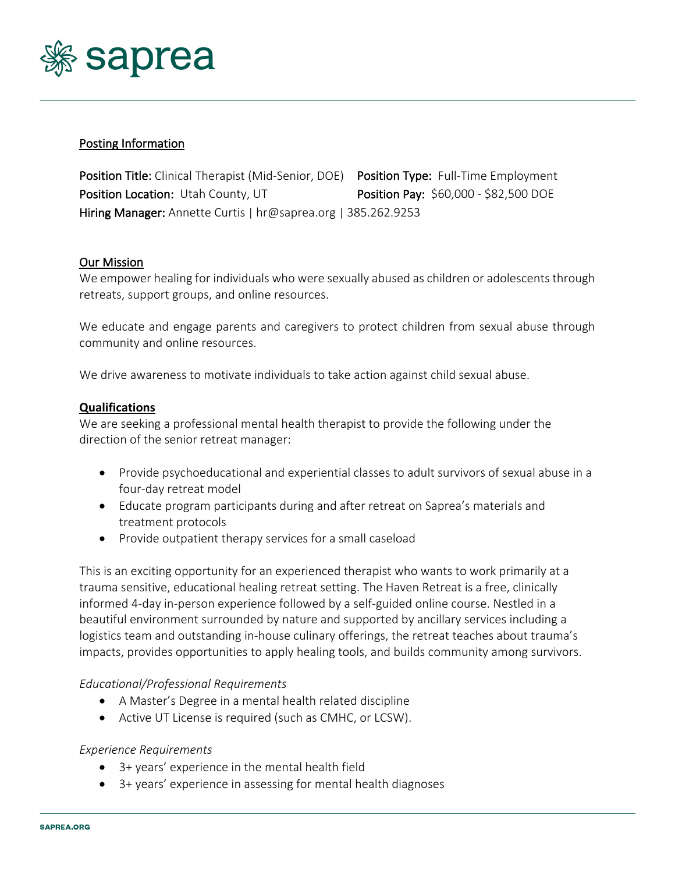

# Posting Information

Position Title: Clinical Therapist (Mid-Senior, DOE) Position Type: Full-Time Employment Position Location: Utah County, UT Position Pay: \$60,000 - \$82,500 DOE Hiring Manager: Annette Curtis | hr@saprea.org | 385.262.9253

### Our Mission

We empower healing for individuals who were sexually abused as children or adolescents through retreats, support groups, and online resources.

We educate and engage parents and caregivers to protect children from sexual abuse through community and online resources.

We drive awareness to motivate individuals to take action against child sexual abuse.

### **Qualifications**

We are seeking a professional mental health therapist to provide the following under the direction of the senior retreat manager:

- Provide psychoeducational and experiential classes to adult survivors of sexual abuse in a four-day retreat model
- Educate program participants during and after retreat on Saprea's materials and treatment protocols
- Provide outpatient therapy services for a small caseload

This is an exciting opportunity for an experienced therapist who wants to work primarily at a trauma sensitive, educational healing retreat setting. The Haven Retreat is a free, clinically informed 4-day in-person experience followed by a self-guided online course. Nestled in a beautiful environment surrounded by nature and supported by ancillary services including a logistics team and outstanding in-house culinary offerings, the retreat teaches about trauma's impacts, provides opportunities to apply healing tools, and builds community among survivors.

### *Educational/Professional Requirements*

- A Master's Degree in a mental health related discipline
- Active UT License is required (such as CMHC, or LCSW).

### *Experience Requirements*

- 3+ years' experience in the mental health field
- 3+ years' experience in assessing for mental health diagnoses